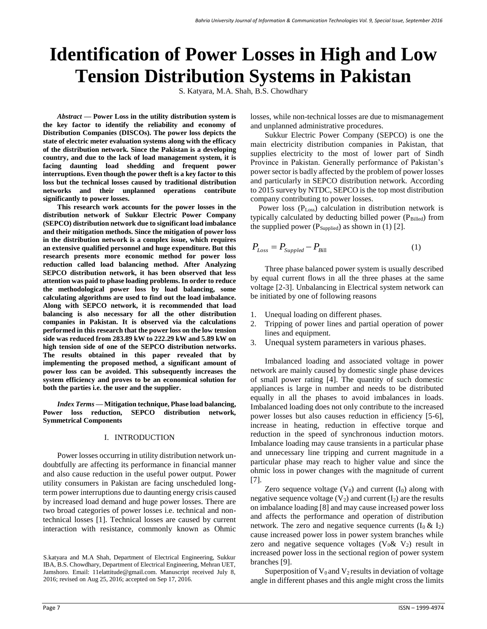# **Identification of Power Losses in High and Low Tension Distribution Systems in Pakistan**

S. Katyara, M.A. Shah, B.S. Chowdhary

*Abstract* **— Power Loss in the utility distribution system is the key factor to identify the reliability and economy of Distribution Companies (DISCOs). The power loss depicts the state of electric meter evaluation systems along with the efficacy of the distribution network. Since the Pakistan is a developing country, and due to the lack of load management system, it is facing daunting load shedding and frequent power interruptions. Even though the power theft is a key factor to this loss but the technical losses caused by traditional distribution networks and their unplanned operations contribute significantly to power losses.**

**This research work accounts for the power losses in the distribution network of Sukkur Electric Power Company (SEPCO) distribution network due to significant load imbalance and their mitigation methods. Since the mitigation of power loss in the distribution network is a complex issue, which requires an extensive qualified personnel and huge expenditure. But this research presents more economic method for power loss reduction called load balancing method. After Analyzing SEPCO distribution network, it has been observed that less attention was paid to phase loading problems. In order to reduce the methodological power loss by load balancing, some calculating algorithms are used to find out the load imbalance. Along with SEPCO network, it is recommended that load balancing is also necessary for all the other distribution companies in Pakistan. It is observed via the calculations performed in this research that the power loss on the low tension side was reduced from 283.89 kW to 222.29 kW and 5.89 kW on high tension side of one of the SEPCO distribution networks. The results obtained in this paper revealed that by implementing the proposed method, a significant amount of power loss can be avoided. This subsequently increases the system efficiency and proves to be an economical solution for both the parties i.e. the user and the supplier.**

*Index Terms* **— Mitigation technique, Phase load balancing, Power loss reduction, SEPCO distribution network, Symmetrical Components**

#### I. INTRODUCTION

Power losses occurring in utility distribution network undoubtfully are affecting its performance in financial manner and also cause reduction in the useful power output. Power utility consumers in Pakistan are facing unscheduled longterm power interruptions due to daunting energy crisis caused by increased load demand and huge power losses. There are two broad categories of power losses i.e. technical and nontechnical losses [1]. Technical losses are caused by current interaction with resistance, commonly known as Ohmic losses, while non-technical losses are due to mismanagement and unplanned administrative procedures.

Sukkur Electric Power Company (SEPCO) is one the main electricity distribution companies in Pakistan, that supplies electricity to the most of lower part of Sindh Province in Pakistan. Generally performance of Pakistan's power sector is badly affected by the problem of power losses and particularly in SEPCO distribution network. According to 2015 survey by NTDC, SEPCO is the top most distribution company contributing to power losses.

Power loss (P<sub>Loss</sub>) calculation in distribution network is typically calculated by deducting billed power  $(P_{\text{Billed}})$  from the supplied power ( $P_{\text{Supplied}}$ ) as shown in (1) [2].

$$
P_{Loss} = P_{Suppled} - P_{Bill}
$$
 (1)

Three phase balanced power system is usually described by equal current flows in all the three phases at the same voltage [2-3]. Unbalancing in Electrical system network can be initiated by one of following reasons

- 1. Unequal loading on different phases.
- 2. Tripping of power lines and partial operation of power lines and equipment.
- 3. Unequal system parameters in various phases.

Imbalanced loading and associated voltage in power network are mainly caused by domestic single phase devices of small power rating [4]. The quantity of such domestic appliances is large in number and needs to be distributed equally in all the phases to avoid imbalances in loads. Imbalanced loading does not only contribute to the increased power losses but also causes reduction in efficiency [5-6], increase in heating, reduction in effective torque and reduction in the speed of synchronous induction motors. Imbalance loading may cause transients in a particular phase and unnecessary line tripping and current magnitude in a particular phase may reach to higher value and since the ohmic loss in power changes with the magnitude of current [7].

Zero sequence voltage  $(V_0)$  and current  $(I_0)$  along with negative sequence voltage  $(V_2)$  and current  $(I_2)$  are the results on imbalance loading [8] and may cause increased power loss and affects the performance and operation of distribution network. The zero and negative sequence currents  $(I_0 \& I_2)$ cause increased power loss in power system branches while zero and negative sequence voltages ( $V_0 \& V_2$ ) result in increased power loss in the sectional region of power system branches [9].

Superposition of  $V_0$  and  $V_2$  results in deviation of voltage angle in different phases and this angle might cross the limits

S.katyara and M.A Shah, Department of Electrical Engineering, Sukkur IBA, B.S. Chowdhary, Department of Electrical Engineering, Mehran UET, Jamshoro. Email: 11elattitude@gmail.com. Manuscript received July 8, 2016; revised on Aug 25, 2016; accepted on Sep 17, 2016.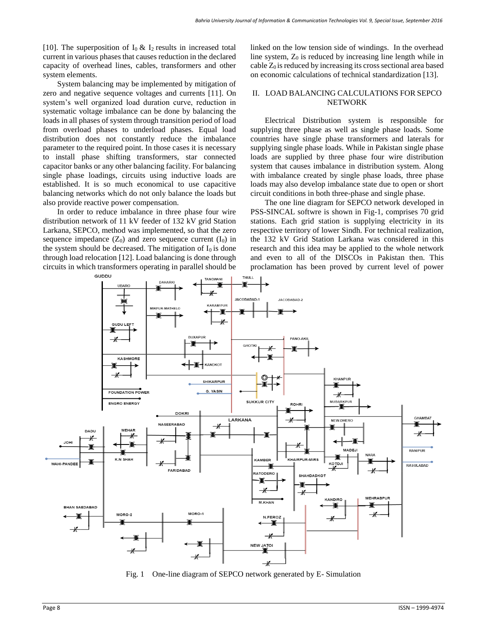[10]. The superposition of  $I_0 \& I_2$  results in increased total current in various phases that causes reduction in the declared capacity of overhead lines, cables, transformers and other system elements.

System balancing may be implemented by mitigation of zero and negative sequence voltages and currents [11]. On system's well organized load duration curve, reduction in systematic voltage imbalance can be done by balancing the loads in all phases of system through transition period of load from overload phases to underload phases. Equal load distribution does not constantly reduce the imbalance parameter to the required point. In those cases it is necessary to install phase shifting transformers, star connected capacitor banks or any other balancing facility. For balancing single phase loadings, circuits using inductive loads are established. It is so much economical to use capacitive balancing networks which do not only balance the loads but also provide reactive power compensation.

In order to reduce imbalance in three phase four wire distribution network of 11 kV feeder of 132 kV grid Station Larkana, SEPCO, method was implemented, so that the zero sequence impedance  $(Z_0)$  and zero sequence current  $(I_0)$  in the system should be decreased. The mitigation of  $I_0$  is done through load relocation [12]. Load balancing is done through circuits in which transformers operating in parallel should be linked on the low tension side of windings. In the overhead line system,  $Z_0$  is reduced by increasing line length while in  $c$ able  $Z_0$  is reduced by increasing its cross sectional area based on economic calculations of technical standardization [13].

#### II. LOAD BALANCING CALCULATIONS FOR SEPCO NETWORK

Electrical Distribution system is responsible for supplying three phase as well as single phase loads. Some countries have single phase transformers and laterals for supplying single phase loads. While in Pakistan single phase loads are supplied by three phase four wire distribution system that causes imbalance in distribution system. Along with imbalance created by single phase loads, three phase loads may also develop imbalance state due to open or short circuit conditions in both three-phase and single phase.

The one line diagram for SEPCO network developed in PSS-SINCAL softwre is shown in Fig-1, comprises 70 grid stations. Each grid station is supplying electricity in its respective territory of lower Sindh. For technical realization, the 132 kV Grid Station Larkana was considered in this research and this idea may be applied to the whole network and even to all of the DISCOs in Pakistan then. This proclamation has been proved by current level of power



Fig. 1 One-line diagram of SEPCO network generated by E- Simulation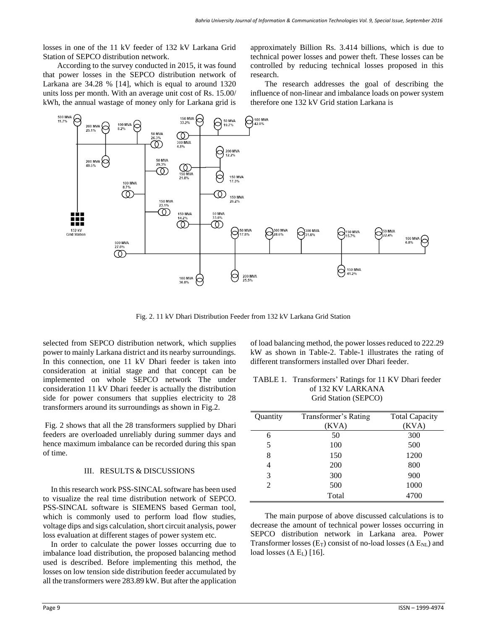losses in one of the 11 kV feeder of 132 kV Larkana Grid Station of SEPCO distribution network.

According to the survey conducted in 2015, it was found that power losses in the SEPCO distribution network of Larkana are 34.28 % [14], which is equal to around 1320 units loss per month. With an average unit cost of Rs. 15.00/ kWh, the annual wastage of money only for Larkana grid is approximately Billion Rs. 3.414 billions, which is due to technical power losses and power theft. These losses can be controlled by reducing technical losses proposed in this research.

The research addresses the goal of describing the influence of non-linear and imbalance loads on power system therefore one 132 kV Grid station Larkana is



Fig. 2. 11 kV Dhari Distribution Feeder from 132 kV Larkana Grid Station

selected from SEPCO distribution network, which supplies power to mainly Larkana district and its nearby surroundings. In this connection, one 11 kV Dhari feeder is taken into consideration at initial stage and that concept can be implemented on whole SEPCO network The under consideration 11 kV Dhari feeder is actually the distribution side for power consumers that supplies electricity to 28 transformers around its surroundings as shown in Fig.2.

Fig. 2 shows that all the 28 transformers supplied by Dhari feeders are overloaded unreliably during summer days and hence maximum imbalance can be recorded during this span of time.

#### III. RESULTS & DISCUSSIONS

 In this research work PSS-SINCAL software has been used to visualize the real time distribution network of SEPCO. PSS-SINCAL software is SIEMENS based German tool, which is commonly used to perform load flow studies, voltage dips and sigs calculation, short circuit analysis, power loss evaluation at different stages of power system etc.

 In order to calculate the power losses occurring due to imbalance load distribution, the proposed balancing method used is described. Before implementing this method, the losses on low tension side distribution feeder accumulated by all the transformers were 283.89 kW. But after the application of load balancing method, the power losses reduced to 222.29 kW as shown in Table-2. Table-1 illustrates the rating of different transformers installed over Dhari feeder.

| TABLE 1. Transformers' Ratings for 11 KV Dhari feeder |
|-------------------------------------------------------|
| of 132 KV LARKANA                                     |
| Grid Station (SEPCO)                                  |

| Quantity       | Transformer's Rating | <b>Total Capacity</b> |
|----------------|----------------------|-----------------------|
|                | (KVA)                | (KVA)                 |
| 6              | 50                   | 300                   |
| 5              | 100                  | 500                   |
| 8              | 150                  | 1200                  |
| 4              | 200                  | 800                   |
| 3              | 300                  | 900                   |
| $\mathfrak{D}$ | 500                  | 1000                  |
|                | Total                | 4700                  |

The main purpose of above discussed calculations is to decrease the amount of technical power losses occurring in SEPCO distribution network in Larkana area. Power Transformer losses (E<sub>T</sub>) consist of no-load losses ( $\Delta$  E<sub>NL</sub>) and load losses ( $\Delta$  E<sub>L</sub>) [16].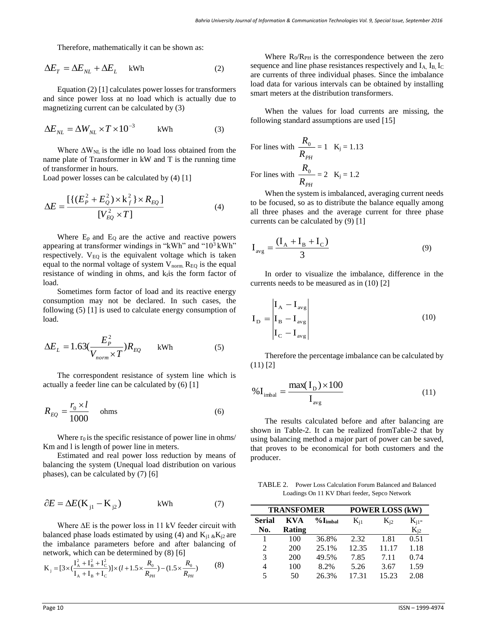Therefore, mathematically it can be shown as:

$$
\Delta E_T = \Delta E_{NL} + \Delta E_L \quad \text{kWh} \tag{2}
$$

Equation (2) [1] calculates power losses for transformers and since power loss at no load which is actually due to magnetizing current can be calculated by (3)

$$
\Delta E_{NL} = \Delta W_{NL} \times T \times 10^{-3} \qquad \text{kWh} \tag{3}
$$

Where  $\Delta W_{NL}$  is the idle no load loss obtained from the name plate of Transformer in kW and T is the running time of transformer in hours.

Load power losses can be calculated by (4) [1]

$$
\Delta E = \frac{\left[ \left\{ (E_P^2 + E_Q^2) \times k_f^2 \right\} \times R_{EQ} \right]}{\left[ V_{EQ}^2 \times T \right]}
$$
(4)

Where  $E_p$  and  $E_Q$  are the active and reactive powers appearing at transformer windings in "kWh" and " $10<sup>3</sup>$  kWh" respectively.  $V_{E0}$  is the equivalent voltage which is taken equal to the normal voltage of system  $V_{\text{norm}}$ .  $R_{\text{EO}}$  is the equal resistance of winding in ohms, and  $k_f$  is the form factor of load.

Sometimes form factor of load and its reactive energy consumption may not be declared. In such cases, the following (5) [1] is used to calculate energy consumption of load.

$$
\Delta E_L = 1.63 \left( \frac{E_P^2}{V_{norm} \times T} \right) R_{EQ} \quad \text{kWh} \tag{5}
$$

The correspondent resistance of system line which is actually a feeder line can be calculated by (6) [1]

$$
R_{EQ} = \frac{r_0 \times l}{1000} \quad \text{ohms} \tag{6}
$$

Where  $r_0$  is the specific resistance of power line in ohms/ Km and l is length of power line in meters.

Estimated and real power loss reduction by means of balancing the system (Unequal load distribution on various phases), can be calculated by (7) [6]

$$
\partial E = \Delta E(\mathbf{K}_{j1} - \mathbf{K}_{j2}) \quad \text{kWh} \tag{7}
$$

Where  $\Delta E$  is the power loss in 11 kV feeder circuit with balanced phase loads estimated by using (4) and  $K_{i1}$   $_{\&}\nK_{i2}$  are the imbalance parameters before and after balancing of network, which can be determined by (8) [6]

$$
K_{j} = [3 \times (\frac{I_{A}^{2} + I_{B}^{2} + I_{C}^{2}}{I_{A} + I_{B} + I_{C}})] \times (l + 1.5 \times \frac{R_{0}}{R_{PH}}) - (1.5 \times \frac{R_{0}}{R_{PH}})
$$
(8)

Where  $R_0/R_{PH}$  is the correspondence between the zero sequence and line phase resistances respectively and  $I_A$ ,  $I_B$ ,  $I_C$ are currents of three individual phases. Since the imbalance load data for various intervals can be obtained by installing smart meters at the distribution transformers.

When the values for load currents are missing, the following standard assumptions are used [15]

For lines with 
$$
\frac{R_0}{R_{PH}} = 1
$$
  $K_j = 1.13$   
For lines with  $\frac{R_0}{R_{PH}} = 2$   $K_j = 1.2$ 

When the system is imbalanced, averaging current needs to be focused, so as to distribute the balance equally among all three phases and the average current for three phase currents can be calculated by (9) [1]

$$
I_{avg} = \frac{(I_A + I_B + I_C)}{3}
$$
 (9)

In order to visualize the imbalance, difference in the currents needs to be measured as in (10) [2]

$$
\mathbf{I}_{\rm D} = \begin{vmatrix} \mathbf{I}_{\rm A} - \mathbf{I}_{\rm avg} \\ \mathbf{I}_{\rm B} - \mathbf{I}_{\rm avg} \\ \mathbf{I}_{\rm C} - \mathbf{I}_{\rm avg} \end{vmatrix}
$$
 (10)

Therefore the percentage imbalance can be calculated by (11) [2]

$$
\%I_{\text{imbal}} = \frac{\max(I_D) \times 100}{I_{\text{avg}}}
$$
\n(11)

The results calculated before and after balancing are shown in Table-2. It can be realized fromTable-2 that by using balancing method a major part of power can be saved, that proves to be economical for both customers and the producer.

TABLE 2. Power Loss Calculation Forum Balanced and Balanced Loadings On 11 KV Dhari feeder, Sepco Network

| <b>TRANSFOMER</b>           |               |                    | <b>POWER LOSS (kW)</b> |          |            |
|-----------------------------|---------------|--------------------|------------------------|----------|------------|
| <b>Serial</b>               | KVA           | $%$ <b>I</b> imbal | $K_{i1}$               | $K_{i2}$ | $K_{i1}$ - |
| No.                         | <b>Rating</b> |                    |                        |          | $K_{i2}$   |
|                             | 100           | 36.8%              | 2.32                   | 1.81     | 0.51       |
| $\mathcal{D}_{\mathcal{L}}$ | 200           | 25.1%              | 12.35                  | 11.17    | 1.18       |
| $\mathcal{R}$               | 200           | 49.5%              | 7.85                   | 7.11     | 0.74       |
| 4                           | 100           | 8.2%               | 5.26                   | 3.67     | 1.59       |
| 5                           | 50            | 26.3%              | 17.31                  | 15.23    | 2.08       |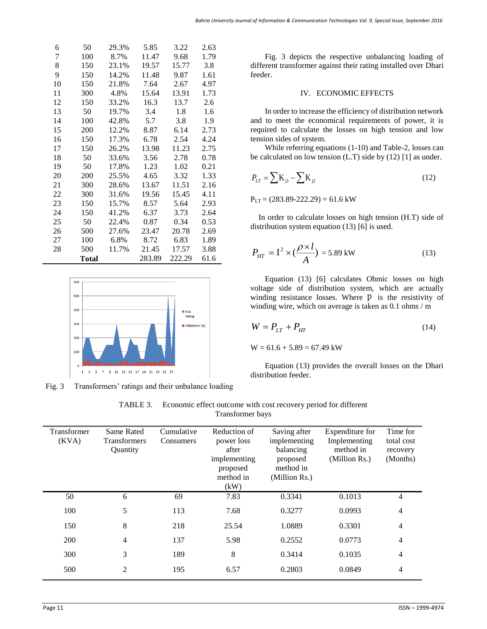| 6  | 50    | 29.3%                   | 5.85          | 3.22   | 2.63 |
|----|-------|-------------------------|---------------|--------|------|
| 7  | 100   | 8.7%                    | 11.47<br>9.68 |        | 1.79 |
| 8  | 150   | 19.57<br>15.77<br>23.1% |               | 3.8    |      |
| 9  | 150   | 14.2%                   | 11.48         | 9.87   | 1.61 |
| 10 | 150   | 21.8%                   | 7.64          | 2.67   | 4.97 |
| 11 | 300   | 4.8%                    | 15.64         | 13.91  | 1.73 |
| 12 | 150   | 33.2%                   | 16.3          | 13.7   | 2.6  |
| 13 | 50    | 19.7%                   | 3.4           | 1.8    | 1.6  |
| 14 | 100   | 42.8%                   | 5.7           | 3.8    | 1.9  |
| 15 | 200   | 12.2%                   | 8.87          | 6.14   | 2.73 |
| 16 | 150   | 17.3%                   | 6.78          | 2.54   | 4.24 |
| 17 | 150   | 26.2%                   | 13.98         | 11.23  | 2.75 |
| 18 | 50    | 33.6%                   | 3.56          | 2.78   | 0.78 |
| 19 | 50    | 17.8%                   | 1.23          | 1.02   | 0.21 |
| 20 | 200   | 25.5%                   | 4.65          | 3.32   | 1.33 |
| 21 | 300   | 28.6%                   | 13.67         | 11.51  | 2.16 |
| 22 | 300   | 31.6%                   | 19.56         | 15.45  | 4.11 |
| 23 | 150   | 15.7%                   | 8.57          | 5.64   | 2.93 |
| 24 | 150   | 41.2%                   | 6.37          | 3.73   | 2.64 |
| 25 | 50    | 22.4%                   | 0.87          | 0.34   | 0.53 |
| 26 | 500   | 27.6%                   | 23.47         | 20.78  | 2.69 |
| 27 | 100   | 6.8%                    | 8.72          | 6.83   | 1.89 |
| 28 | 500   | 11.7%                   | 21.45         | 17.57  | 3.88 |
|    | Total |                         | 283.89        | 222.29 | 61.6 |



Fig. 3 Transformers' ratings and their unbalance loading

Fig. 3 depicts the respective unbalancing loading of different transformer against their rating installed over Dhari feeder.

### IV. ECONOMIC EFFECTS

In order to increase the efficiency of distribution network and to meet the economical requirements of power, it is required to calculate the losses on high tension and low tension sides of system.

While referring equations (1-10) and Table-2, losses can be calculated on low tension (L.T) side by (12) [1] as under.

$$
P_{LT} = \sum K_{j1} - \sum K_{j2}
$$
 (12)

 $P_{LT}$  = (283.89-222.29) = 61.6 kW

 In order to calculate losses on high tension (H.T) side of distribution system equation (13) [6] is used.

$$
P_{HT} = I^2 \times (\frac{\rho \times l}{A}) = 5.89 \text{ kW}
$$
 (13)

Equation (13) [6] calculates Ohmic losses on high voltage side of distribution system, which are actually winding resistance losses. Where  $\bar{p}$  is the resistivity of winding wire, which on average is taken as 0.1 ohms / m

$$
W = P_{LT} + P_{HT} \tag{14}
$$

 $W = 61.6 + 5.89 = 67.49$  kW

Equation (13) provides the overall losses on the Dhari distribution feeder.

| TABLE 3. Economic effect outcome with cost recovery period for different |
|--------------------------------------------------------------------------|
| Transformer bays                                                         |

| Transformer<br>(KVA) | Same Rated<br><b>Transformers</b><br>Quantity | Cumulative<br>Consumers | Reduction of<br>power loss<br>after<br>implementing<br>proposed<br>method in<br>(kW) | Saving after<br>implementing<br>balancing<br>proposed<br>method in<br>(Million Rs.) | Expenditure for<br>Implementing<br>method in<br>(Million Rs.) | Time for<br>total cost<br>recovery<br>(Months) |
|----------------------|-----------------------------------------------|-------------------------|--------------------------------------------------------------------------------------|-------------------------------------------------------------------------------------|---------------------------------------------------------------|------------------------------------------------|
| 50                   | 6                                             | 69                      | 7.83                                                                                 | 0.3341                                                                              | 0.1013                                                        | $\overline{4}$                                 |
| 100                  | 5                                             | 113                     | 7.68                                                                                 | 0.3277                                                                              | 0.0993                                                        | 4                                              |
| 150                  | 8                                             | 218                     | 25.54                                                                                | 1.0889                                                                              | 0.3301                                                        | 4                                              |
| 200                  | $\overline{4}$                                | 137                     | 5.98                                                                                 | 0.2552                                                                              | 0.0773                                                        | $\overline{4}$                                 |
| 300                  | 3                                             | 189                     | 8                                                                                    | 0.3414                                                                              | 0.1035                                                        | $\overline{4}$                                 |
| 500                  | 2                                             | 195                     | 6.57                                                                                 | 0.2803                                                                              | 0.0849                                                        | 4                                              |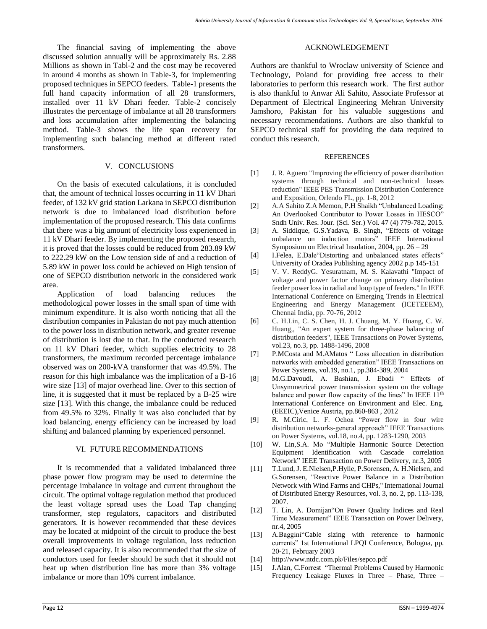The financial saving of implementing the above discussed solution annually will be approximately Rs. 2.88 Millions as shown in Tabl-2 and the cost may be recovered in around 4 months as shown in Table-3, for implementing proposed techniques in SEPCO feeders. Table-1 presents the full hand capacity information of all 28 transformers, installed over 11 kV Dhari feeder. Table-2 concisely illustrates the percentage of imbalance at all 28 transformers and loss accumulation after implementing the balancing method. Table-3 shows the life span recovery for implementing such balancing method at different rated transformers.

## V. CONCLUSIONS

On the basis of executed calculations, it is concluded that, the amount of technical losses occurring in 11 kV Dhari feeder, of 132 kV grid station Larkana in SEPCO distribution network is due to imbalanced load distribution before implementation of the proposed research. This data confirms that there was a big amount of electricity loss experienced in 11 kV Dhari feeder. By implementing the proposed research, it is proved that the losses could be reduced from 283.89 kW to 222.29 kW on the Low tension side of and a reduction of 5.89 kW in power loss could be achieved on High tension of one of SEPCO distribution network in the considered work area.

Application of load balancing reduces the methodological power losses in the small span of time with minimum expenditure. It is also worth noticing that all the distribution companies in Pakistan do not pay much attention to the power loss in distribution network, and greater revenue of distribution is lost due to that. In the conducted research on 11 kV Dhari feeder, which supplies electricity to 28 transformers, the maximum recorded percentage imbalance observed was on 200-kVA transformer that was 49.5%. The reason for this high imbalance was the implication of a B-16 wire size [13] of major overhead line. Over to this section of line, it is suggested that it must be replaced by a B-25 wire size [13]. With this change, the imbalance could be reduced from 49.5% to 32%. Finally it was also concluded that by load balancing, energy efficiency can be increased by load shifting and balanced planning by experienced personnel.

## VI. FUTURE RECOMMENDATIONS

It is recommended that a validated imbalanced three phase power flow program may be used to determine the percentage imbalance in voltage and current throughout the circuit. The optimal voltage regulation method that produced the least voltage spread uses the Load Tap changing transformer, step regulators, capacitors and distributed generators. It is however recommended that these devices may be located at midpoint of the circuit to produce the best overall improvements in voltage regulation, loss reduction and released capacity. It is also recommended that the size of conductors used for feeder should be such that it should not heat up when distribution line has more than 3% voltage imbalance or more than 10% current imbalance.

## ACKNOWLEDGEMENT

Authors are thankful to Wroclaw university of Science and Technology, Poland for providing free access to their laboratories to perform this research work. The first author is also thankful to Anwar Ali Sahito, Associate Professor at Department of Electrical Engineering Mehran University Jamshoro, Pakistan for his valuable suggestions and necessary recommendations. Authors are also thankful to SEPCO technical staff for providing the data required to conduct this research.

### **REFERENCES**

- [1] J. R. Aguero "Improving the efficiency of power distribution systems through technical and non-technical losses reduction" IEEE PES Transmission Distribution Conference and Exposition, Orlendo FL, pp. 1-8, 2012
- [2] A.A Sahito Z.A Memon, P.H Shaikh "Unbalanced Loading: An Overlooked Contributor to Power Losses in HESCO" Sndh Univ. Res. Jour. (Sci. Ser.) Vol. 47 (4) 779-782, 2015.
- [3] A. Siddique, G.S.Yadava, B. Singh, "Effects of voltage unbalance on induction motors" IEEE International Symposium on Electrical Insulation, 2004, pp. 26 – 29
- [4] I.Felea, E.Dale"Distorting and unbalanced states effects" University of Oradea Publishing agency 2002 p.p 145-151
- [5] V. V. ReddyG. Yesuratnam, M. S. Kalavathi "Impact of voltage and power factor change on primary distribution feeder power loss in radial and loop type of feeders." In IEEE International Conference on Emerging Trends in Electrical Engineering and Energy Management (ICETEEEM), Chennai India, pp. 70-76, 2012
- [6] C. H.Lin, C. S. Chen, H. J. Chuang, M. Y. Huang, C. W. Huang,, "An expert system for three-phase balancing of distribution feeders", IEEE Transactions on Power Systems, vol.23, no.3, pp. 1488-1496, 2008
- [7] P.MCosta and M.AMatos " Loss allocation in distribution networks with embedded generation" IEEE Transactions on Power Systems, vol.19, no.1, pp.384-389, 2004
- [8] M.G.Davoudi, A. Bashian, J. Ebadi " Effects of Unsymmetrical power transmission system on the voltage balance and power flow capacity of the lines" In IEEE 11<sup>th</sup> International Conference on Environment and Elec. Eng. (EEEIC),Venice Austria, pp.860-863 , 2012
- [9] R. M.Ciric, L. F. Ochoa "Power flow in four wire distribution networks-general approach" IEEE Transactions on Power Systems, vol.18, no.4, pp. 1283-1290, 2003
- [10] W. Lin,S.A. Mo "Multiple Harmonic Source Detection Equipment Identification with Cascade correlation Network" IEEE Transaction on Power Delivery, nr.3, 2005
- [11] T.Lund, J. E.Nielsen,P.Hylle, P.Sorensen, A. H.Nielsen, and G.Sorensen, "Reactive Power Balance in a Distribution Network with Wind Farms and CHPs," International Journal of Distributed Energy Resources, vol. 3, no. 2, pp. 113-138, 2007.
- [12] T. Lin, A. Domijan"On Power Quality Indices and Real Time Measurement" IEEE Transaction on Power Delivery, nr.4, 2005
- [13] A.Baggini "Cable sizing with reference to harmonic currents" 1st International LPQI Conference, Bologna, pp. 20-21, February 2003
- [14] http://www.ntdc.com.pk/Files/sepco.pdf
- [15] J.Alan, C.Forrest "Thermal Problems Caused by Harmonic Frequency Leakage Fluxes in Three – Phase, Three –